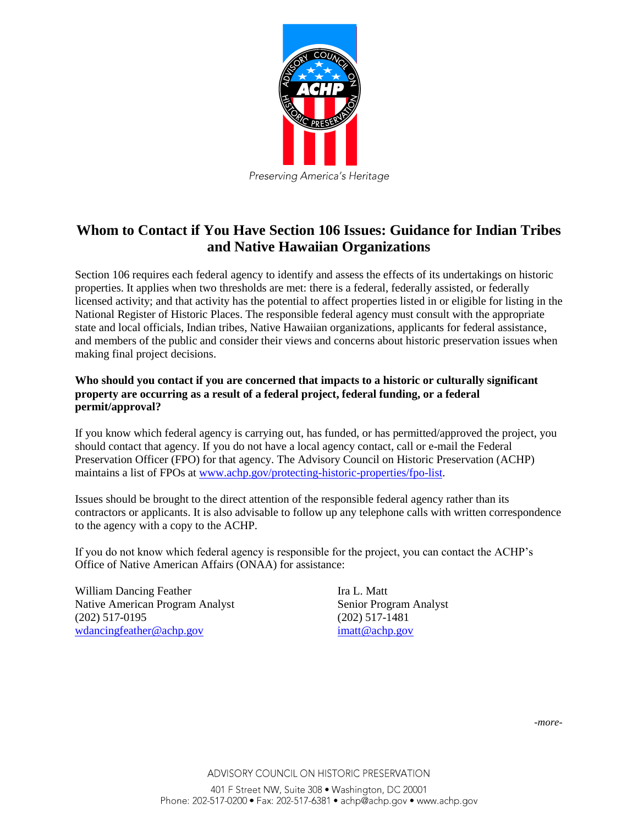

Preserving America's Heritage

## **Whom to Contact if You Have Section 106 Issues: Guidance for Indian Tribes and Native Hawaiian Organizations**

Section 106 requires each federal agency to identify and assess the effects of its undertakings on historic properties. It applies when two thresholds are met: there is a federal, federally assisted, or federally licensed activity; and that activity has the potential to affect properties listed in or eligible for listing in the National Register of Historic Places. The responsible federal agency must consult with the appropriate state and local officials, Indian tribes, Native Hawaiian organizations, applicants for federal assistance, and members of the public and consider their views and concerns about historic preservation issues when making final project decisions.

## **Who should you contact if you are concerned that impacts to a historic or culturally significant property are occurring as a result of a federal project, federal funding, or a federal permit/approval?**

If you know which federal agency is carrying out, has funded, or has permitted/approved the project, you should contact that agency. If you do not have a local agency contact, call or e-mail the Federal Preservation Officer (FPO) for that agency. The Advisory Council on Historic Preservation (ACHP) maintains a list of FPOs at [www.achp.gov/protecting-historic-properties/fpo-list.](http://www.achp.gov/protecting-historic-properties/fpo-list)

Issues should be brought to the direct attention of the responsible federal agency rather than its contractors or applicants. It is also advisable to follow up any telephone calls with written correspondence to the agency with a copy to the ACHP.

If you do not know which federal agency is responsible for the project, you can contact the ACHP's Office of Native American Affairs (ONAA) for assistance:

William Dancing Feather Ira L. Matt Native American Program Analyst Senior Program Analyst (202) 517-0195 (202) 517-1481 [wdancingfeather@achp.gov](mailto:wdancingfeather@achp.gov) [imatt@achp.gov](mailto:imatt@achp.gov)

*-more-*

ADVISORY COUNCIL ON HISTORIC PRESERVATION

401 F Street NW, Suite 308 · Washington, DC 20001 Phone: 202-517-0200 • Fax: 202-517-6381 • achp@achp.gov • www.achp.gov